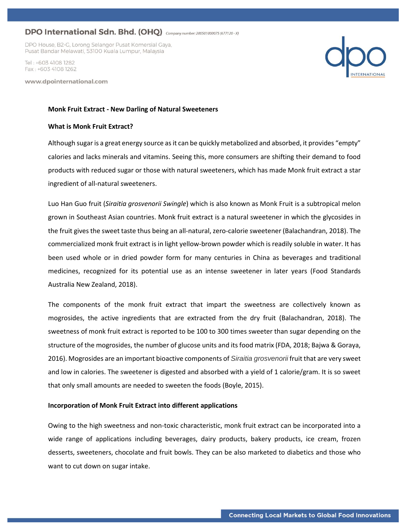## DPO International Sdn. Bhd. (OHQ) Company number: 200501000075 (677120-X)

DPO House, B2-G, Lorong Selangor Pusat Komersial Gaya, Pusat Bandar Melawati, 53100 Kuala Lumpur, Malaysia

Tel · +603 4108 1282 Fax: +603 4108 1262

www.dpointernational.com

## **Monk Fruit Extract - New Darling of Natural Sweeteners**

#### **What is Monk Fruit Extract?**

Although sugar is a great energy source as it can be quickly metabolized and absorbed, it provides "empty" calories and lacks minerals and vitamins. Seeing this, more consumers are shifting their demand to food products with reduced sugar or those with natural sweeteners, which has made Monk fruit extract a star ingredient of all-natural sweeteners.

Luo Han Guo fruit (*Siraitia grosvenorii Swingle*) which is also known as Monk Fruit is a subtropical melon grown in Southeast Asian countries. Monk fruit extract is a natural sweetener in which the glycosides in the fruit gives the sweet taste thus being an all-natural, zero-calorie sweetener (Balachandran, 2018). The commercialized monk fruit extract is in light yellow-brown powder which is readily soluble in water. It has been used whole or in dried powder form for many centuries in China as beverages and traditional medicines, recognized for its potential use as an intense sweetener in later years (Food Standards Australia New Zealand, 2018).

The components of the monk fruit extract that impart the sweetness are collectively known as mogrosides, the active ingredients that are extracted from the dry fruit (Balachandran, 2018). The sweetness of monk fruit extract is reported to be 100 to 300 times sweeter than sugar depending on the structure of the mogrosides, the number of glucose units and its food matrix (FDA, 2018; Bajwa & Goraya, 2016). Mogrosides are an important bioactive components of *Siraitia grosvenorii* fruit that are very sweet and low in calories. The sweetener is digested and absorbed with a yield of 1 calorie/gram. It is so sweet that only small amounts are needed to sweeten the foods (Boyle, 2015).

#### **Incorporation of Monk Fruit Extract into different applications**

Owing to the high sweetness and non-toxic characteristic, monk fruit extract can be incorporated into a wide range of applications including beverages, dairy products, bakery products, ice cream, frozen desserts, sweeteners, chocolate and fruit bowls. They can be also marketed to diabetics and those who want to cut down on sugar intake.

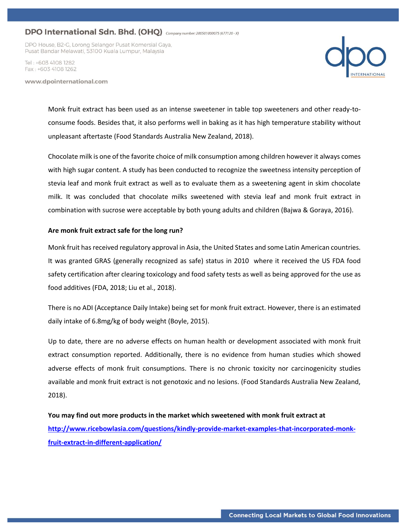# DPO International Sdn. Bhd. (OHQ) Company number: 200501000075 (677120-X)

DPO House, B2-G, Lorong Selangor Pusat Komersial Gaya, Pusat Bandar Melawati, 53100 Kuala Lumpur, Malaysia

Tel · +603 4108 1282 Fax: +603 4108 1262

www.dpointernational.com



Monk fruit extract has been used as an intense sweetener in table top sweeteners and other ready-toconsume foods. Besides that, it also performs well in baking as it has high temperature stability without unpleasant aftertaste (Food Standards Australia New Zealand, 2018).

Chocolate milk is one of the favorite choice of milk consumption among children however it always comes with high sugar content. A study has been conducted to recognize the sweetness intensity perception of stevia leaf and monk fruit extract as well as to evaluate them as a sweetening agent in skim chocolate milk. It was concluded that chocolate milks sweetened with stevia leaf and monk fruit extract in combination with sucrose were acceptable by both young adults and children (Bajwa & Goraya, 2016).

### **Are monk fruit extract safe for the long run?**

Monk fruit has received regulatory approval in Asia, the United States and some Latin American countries. It was granted GRAS (generally recognized as safe) status in 2010 where it received the US FDA food safety certification after clearing toxicology and food safety tests as well as being approved for the use as food additives (FDA, 2018; Liu et al., 2018).

There is no ADI (Acceptance Daily Intake) being set for monk fruit extract. However, there is an estimated daily intake of 6.8mg/kg of body weight (Boyle, 2015).

Up to date, there are no adverse effects on human health or development associated with monk fruit extract consumption reported. Additionally, there is no evidence from human studies which showed adverse effects of monk fruit consumptions. There is no chronic toxicity nor carcinogenicity studies available and monk fruit extract is not genotoxic and no lesions. (Food Standards Australia New Zealand, 2018).

**You may find out more products in the market which sweetened with monk fruit extract at [http://www.ricebowlasia.com/questions/kindly-provide-market-examples-that-incorporated-monk](http://www.ricebowlasia.com/questions/kindly-provide-market-examples-that-incorporated-monk-fruit-extract-in-different-application/)[fruit-extract-in-different-application/](http://www.ricebowlasia.com/questions/kindly-provide-market-examples-that-incorporated-monk-fruit-extract-in-different-application/)**